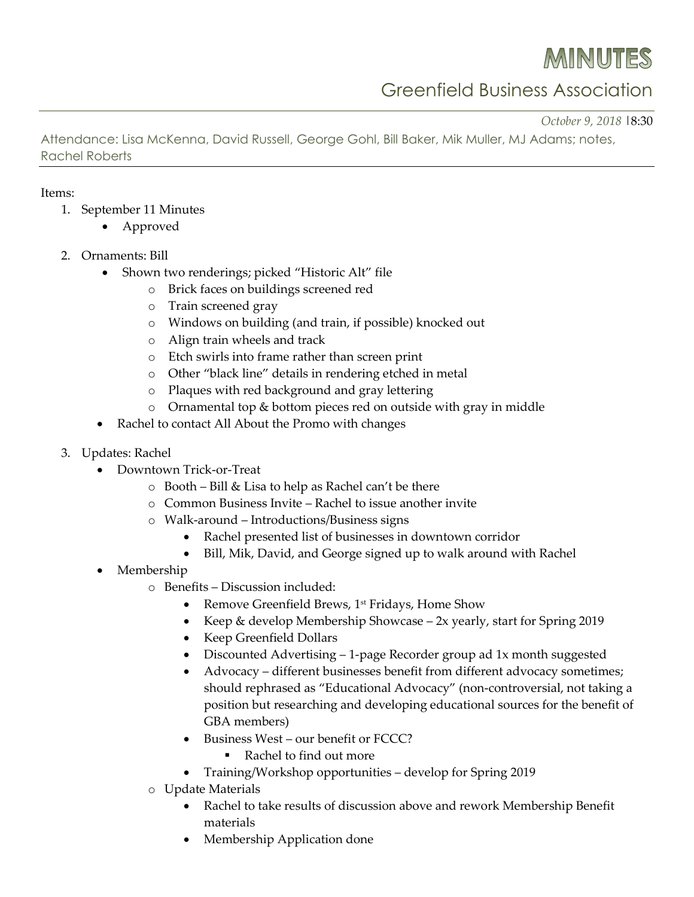MINUTES

Greenfield Business Association

*October 9, 2018* |8:30

Attendance: Lisa McKenna, David Russell, George Gohl, Bill Baker, Mik Muller, MJ Adams; notes, Rachel Roberts

## Items:

- 1. September 11 Minutes
	- Approved
- 2. Ornaments: Bill
	- Shown two renderings; picked "Historic Alt" file
		- o Brick faces on buildings screened red
		- o Train screened gray
		- o Windows on building (and train, if possible) knocked out
		- o Align train wheels and track
		- o Etch swirls into frame rather than screen print
		- o Other "black line" details in rendering etched in metal
		- o Plaques with red background and gray lettering
		- o Ornamental top & bottom pieces red on outside with gray in middle
	- Rachel to contact All About the Promo with changes
- 3. Updates: Rachel
	- Downtown Trick-or-Treat
		- o Booth Bill & Lisa to help as Rachel can't be there
		- o Common Business Invite Rachel to issue another invite
		- o Walk-around Introductions/Business signs
			- Rachel presented list of businesses in downtown corridor
			- Bill, Mik, David, and George signed up to walk around with Rachel
	- Membership
		- o Benefits Discussion included:
			- Remove Greenfield Brews, 1<sup>st</sup> Fridays, Home Show
			- Keep & develop Membership Showcase 2x yearly, start for Spring 2019
			- Keep Greenfield Dollars
			- Discounted Advertising 1-page Recorder group ad 1x month suggested
			- Advocacy different businesses benefit from different advocacy sometimes; should rephrased as "Educational Advocacy" (non-controversial, not taking a position but researching and developing educational sources for the benefit of GBA members)
			- Business West our benefit or FCCC?
				- Rachel to find out more
			- Training/Workshop opportunities develop for Spring 2019
		- o Update Materials
			- Rachel to take results of discussion above and rework Membership Benefit materials
			- Membership Application done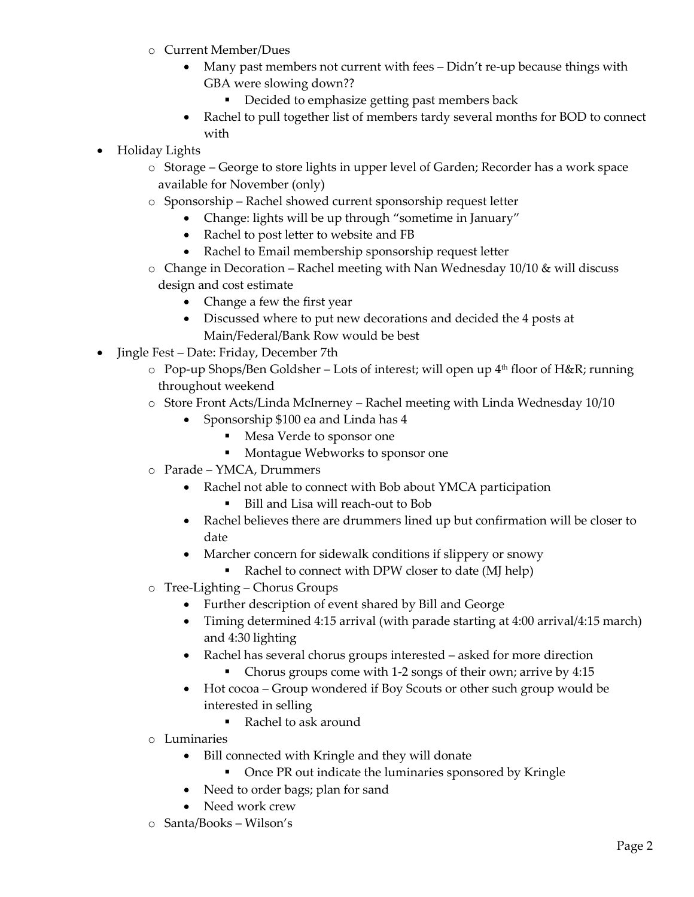- o Current Member/Dues
	- Many past members not current with fees Didn't re-up because things with GBA were slowing down??
		- Decided to emphasize getting past members back
	- Rachel to pull together list of members tardy several months for BOD to connect with
- Holiday Lights
	- o Storage George to store lights in upper level of Garden; Recorder has a work space available for November (only)
	- o Sponsorship Rachel showed current sponsorship request letter
		- Change: lights will be up through "sometime in January"
		- Rachel to post letter to website and FB
		- Rachel to Email membership sponsorship request letter
	- $\circ$  Change in Decoration Rachel meeting with Nan Wednesday 10/10 & will discuss design and cost estimate
		- Change a few the first year
		- Discussed where to put new decorations and decided the 4 posts at Main/Federal/Bank Row would be best
- Jingle Fest Date: Friday, December 7th
	- $\circ$  Pop-up Shops/Ben Goldsher Lots of interest; will open up  $4<sup>th</sup>$  floor of H&R; running throughout weekend
	- o Store Front Acts/Linda McInerney Rachel meeting with Linda Wednesday 10/10
		- Sponsorship \$100 ea and Linda has 4
			- Mesa Verde to sponsor one
			- Montague Webworks to sponsor one
	- o Parade YMCA, Drummers
		- Rachel not able to connect with Bob about YMCA participation
			- Bill and Lisa will reach-out to Bob
		- Rachel believes there are drummers lined up but confirmation will be closer to date
		- Marcher concern for sidewalk conditions if slippery or snowy
			- Rachel to connect with DPW closer to date (MJ help)
	- o Tree-Lighting Chorus Groups
		- Further description of event shared by Bill and George
		- Timing determined 4:15 arrival (with parade starting at 4:00 arrival/4:15 march) and 4:30 lighting
		- Rachel has several chorus groups interested asked for more direction
			- Chorus groups come with 1-2 songs of their own; arrive by 4:15
		- Hot cocoa Group wondered if Boy Scouts or other such group would be interested in selling
			- Rachel to ask around
	- o Luminaries
		- Bill connected with Kringle and they will donate
			- Once PR out indicate the luminaries sponsored by Kringle
		- Need to order bags; plan for sand
		- Need work crew
	- o Santa/Books Wilson's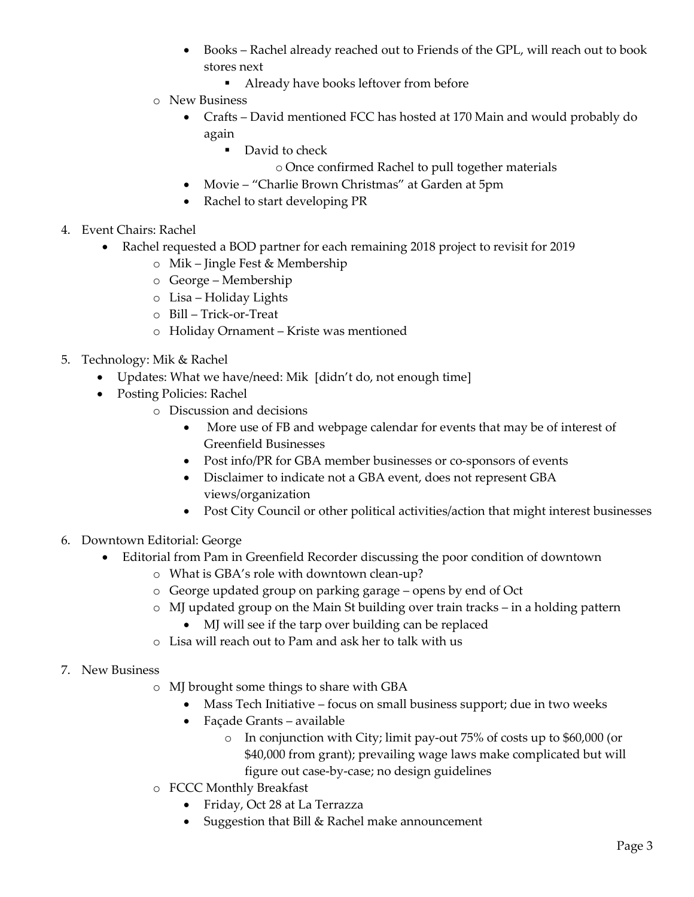- Books Rachel already reached out to Friends of the GPL, will reach out to book stores next
	- Already have books leftover from before
- o New Business
	- Crafts David mentioned FCC has hosted at 170 Main and would probably do again
		- David to check
			- o Once confirmed Rachel to pull together materials
	- Movie "Charlie Brown Christmas" at Garden at 5pm
	- Rachel to start developing PR
- 4. Event Chairs: Rachel
	- Rachel requested a BOD partner for each remaining 2018 project to revisit for 2019
		- o Mik Jingle Fest & Membership
		- o George Membership
		- o Lisa Holiday Lights
		- o Bill Trick-or-Treat
		- o Holiday Ornament Kriste was mentioned
- 5. Technology: Mik & Rachel
	- Updates: What we have/need: Mik [didn't do, not enough time]
	- Posting Policies: Rachel
		- o Discussion and decisions
			- More use of FB and webpage calendar for events that may be of interest of Greenfield Businesses
			- Post info/PR for GBA member businesses or co-sponsors of events
			- Disclaimer to indicate not a GBA event, does not represent GBA views/organization
			- Post City Council or other political activities/action that might interest businesses
- 6. Downtown Editorial: George
	- Editorial from Pam in Greenfield Recorder discussing the poor condition of downtown
		- o What is GBA's role with downtown clean-up?
		- o George updated group on parking garage opens by end of Oct
		- o MJ updated group on the Main St building over train tracks in a holding pattern
			- MJ will see if the tarp over building can be replaced
		- o Lisa will reach out to Pam and ask her to talk with us
- 7. New Business
	- o MJ brought some things to share with GBA
		- Mass Tech Initiative focus on small business support; due in two weeks
		- Façade Grants available
			- o In conjunction with City; limit pay-out 75% of costs up to \$60,000 (or \$40,000 from grant); prevailing wage laws make complicated but will figure out case-by-case; no design guidelines
	- o FCCC Monthly Breakfast
		- Friday, Oct 28 at La Terrazza
		- Suggestion that Bill & Rachel make announcement